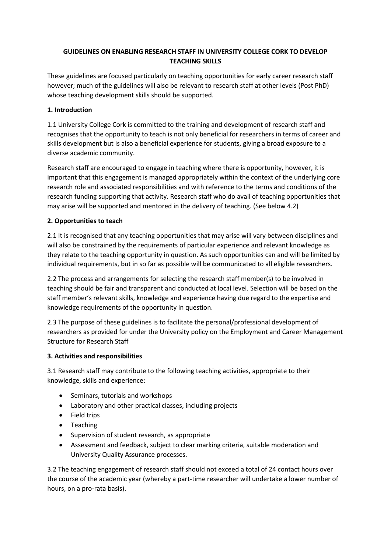### **GUIDELINES ON ENABLING RESEARCH STAFF IN UNIVERSITY COLLEGE CORK TO DEVELOP TEACHING SKILLS**

These guidelines are focused particularly on teaching opportunities for early career research staff however; much of the guidelines will also be relevant to research staff at other levels (Post PhD) whose teaching development skills should be supported.

# **1. Introduction**

1.1 University College Cork is committed to the training and development of research staff and recognises that the opportunity to teach is not only beneficial for researchers in terms of career and skills development but is also a beneficial experience for students, giving a broad exposure to a diverse academic community.

Research staff are encouraged to engage in teaching where there is opportunity, however, it is important that this engagement is managed appropriately within the context of the underlying core research role and associated responsibilities and with reference to the terms and conditions of the research funding supporting that activity. Research staff who do avail of teaching opportunities that may arise will be supported and mentored in the delivery of teaching. (See below 4.2)

# **2. Opportunities to teach**

2.1 It is recognised that any teaching opportunities that may arise will vary between disciplines and will also be constrained by the requirements of particular experience and relevant knowledge as they relate to the teaching opportunity in question. As such opportunities can and will be limited by individual requirements, but in so far as possible will be communicated to all eligible researchers.

2.2 The process and arrangements for selecting the research staff member(s) to be involved in teaching should be fair and transparent and conducted at local level. Selection will be based on the staff member's relevant skills, knowledge and experience having due regard to the expertise and knowledge requirements of the opportunity in question.

2.3 The purpose of these guidelines is to facilitate the personal/professional development of researchers as provided for under the University policy on the Employment and Career Management Structure for Research Staff

### **3. Activities and responsibilities**

3.1 Research staff may contribute to the following teaching activities, appropriate to their knowledge, skills and experience:

- Seminars, tutorials and workshops
- Laboratory and other practical classes, including projects
- Field trips
- Teaching
- Supervision of student research, as appropriate
- Assessment and feedback, subject to clear marking criteria, suitable moderation and University Quality Assurance processes.

3.2 The teaching engagement of research staff should not exceed a total of 24 contact hours over the course of the academic year (whereby a part-time researcher will undertake a lower number of hours, on a pro-rata basis).